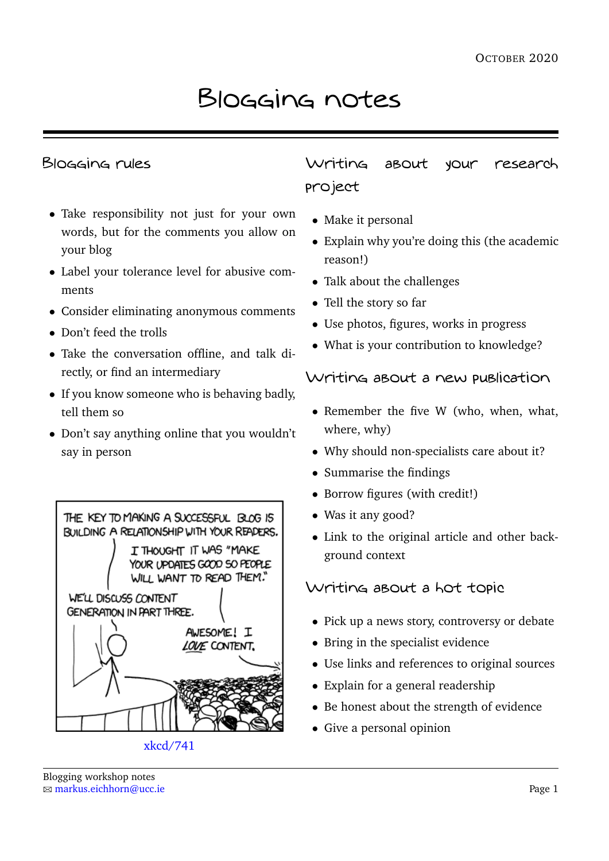# Blogging notes

### Blogging rules

- Take responsibility not just for your own words, but for the comments you allow on your blog
- Label your tolerance level for abusive comments
- Consider eliminating anonymous comments
- Don't feed the trolls
- Take the conversation offline, and talk directly, or find an intermediary
- If you know someone who is behaving badly, tell them so
- Don't say anything online that you wouldn't say in person



[xkcd/741](http://xkcd/741/)

Writing about your research project

- Make it personal
- Explain why you're doing this (the academic reason!)
- Talk about the challenges
- Tell the story so far
- Use photos, figures, works in progress
- What is your contribution to knowledge?

# Writing about a new publication

- Remember the five W (who, when, what, where, why)
- Why should non-specialists care about it?
- Summarise the findings
- Borrow figures (with credit!)
- Was it any good?
- Link to the original article and other background context

# Writing about a hot topic

- Pick up a news story, controversy or debate
- Bring in the specialist evidence
- Use links and references to original sources
- Explain for a general readership
- Be honest about the strength of evidence
- Give a personal opinion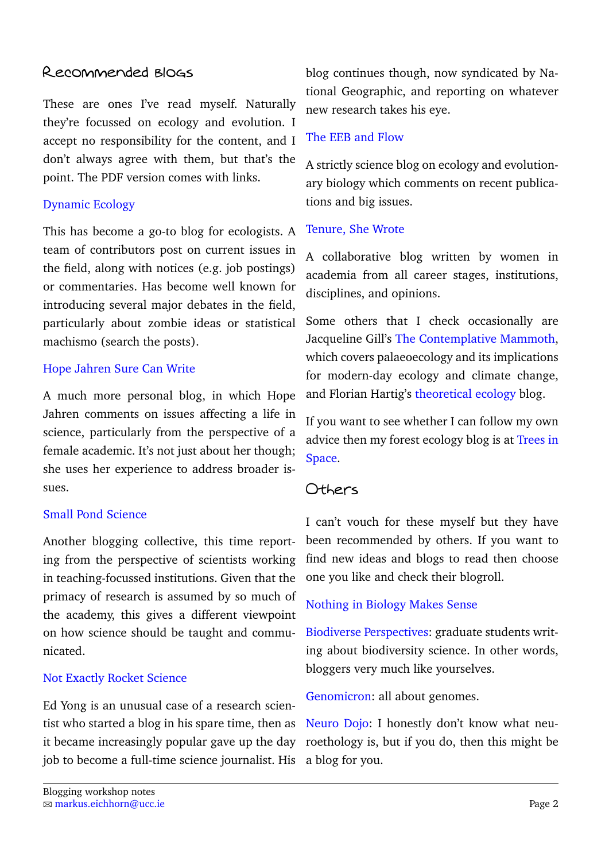# Recommended blogs

These are ones I've read myself. Naturally they're focussed on ecology and evolution. I accept no responsibility for the content, and I don't always agree with them, but that's the point. The PDF version comes with links.

#### [Dynamic Ecology](http://dynamicecology.wordpress.com/)

This has become a go-to blog for ecologists. A team of contributors post on current issues in the field, along with notices (e.g. job postings) or commentaries. Has become well known for introducing several major debates in the field, particularly about zombie ideas or statistical machismo (search the posts).

#### [Hope Jahren Sure Can Write](http://hopejahrensurecanwrite.com/)

A much more personal blog, in which Hope Jahren comments on issues affecting a life in science, particularly from the perspective of a female academic. It's not just about her though; she uses her experience to address broader issues.

#### [Small Pond Science](http://smallpondscience.com/)

Another blogging collective, this time reporting from the perspective of scientists working in teaching-focussed institutions. Given that the primacy of research is assumed by so much of the academy, this gives a different viewpoint on how science should be taught and communicated.

#### [Not Exactly Rocket Science](http://phenomena.nationalgeographic.com/blog/not-exactly-rocket-science/)

Ed Yong is an unusual case of a research scientist who started a blog in his spare time, then as it became increasingly popular gave up the day job to become a full-time science journalist. His

blog continues though, now syndicated by National Geographic, and reporting on whatever new research takes his eye.

# [The EEB and Flow](http://evol-eco.blogspot.ca/)

A strictly science blog on ecology and evolutionary biology which comments on recent publications and big issues.

#### [Tenure, She Wrote](http://tenureshewrote.wordpress.com/)

A collaborative blog written by women in academia from all career stages, institutions, disciplines, and opinions.

Some others that I check occasionally are Jacqueline Gill's [The Contemplative Mammoth,](http://contemplativemammoth.wordpress.com/) which covers palaeoecology and its implications for modern-day ecology and climate change, and Florian Hartig's [theoretical ecology](http://theoreticalecology.wordpress.com/) blog.

If you want to see whether I can follow my own advice then my forest ecology blog is at [Trees in](http://contemplativemammoth.wordpress.com/) [Space.](http://contemplativemammoth.wordpress.com/)

# Others

I can't vouch for these myself but they have been recommended by others. If you want to find new ideas and blogs to read then choose one you like and check their blogroll.

#### [Nothing in Biology Makes Sense](http://nothinginbiology.org/)

[Biodiverse Perspectives:](http://www.biodiverseperspectives.com/) graduate students writing about biodiversity science. In other words, bloggers very much like yourselves.

[Genomicron:](http://www.genomicron.evolverzone.com/) all about genomes.

[Neuro Dojo:](http://neurodojo.blogspot.co.uk/) I honestly don't know what neuroethology is, but if you do, then this might be a blog for you.